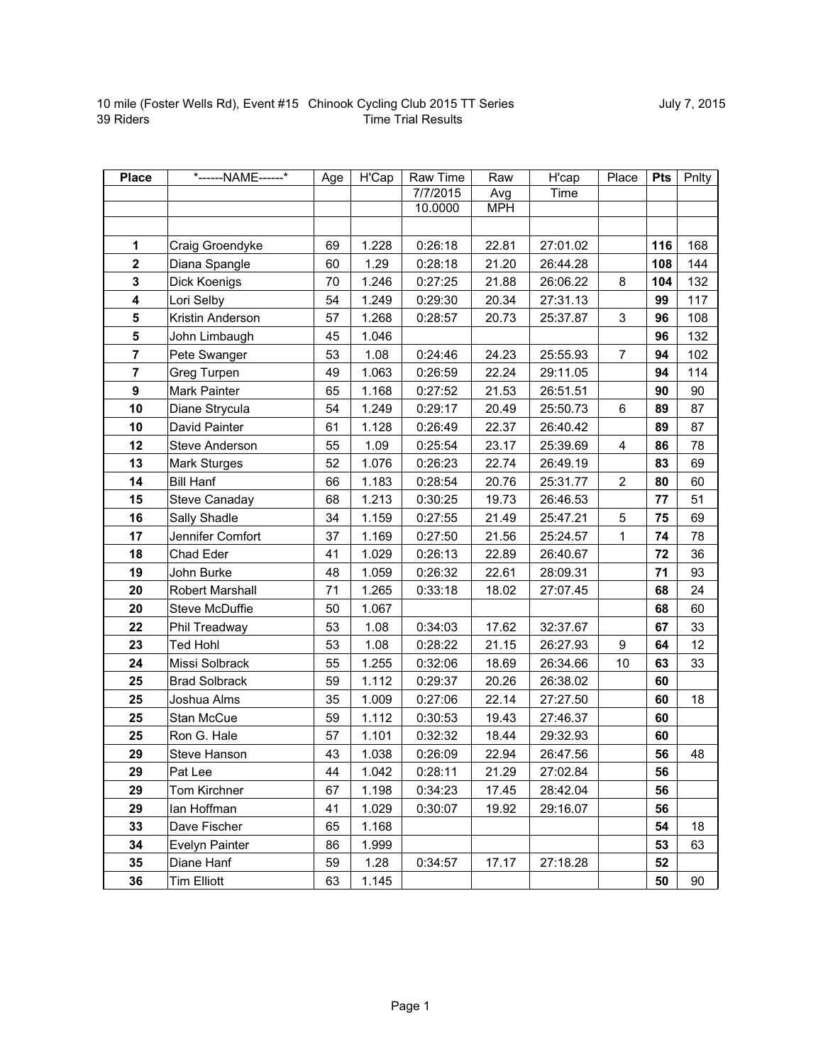| <b>Place</b>            | *------NAME------*   | Age | H'Cap | Raw Time | Raw        | H'cap    | Place          | <b>Pts</b> | Pnlty |
|-------------------------|----------------------|-----|-------|----------|------------|----------|----------------|------------|-------|
|                         |                      |     |       | 7/7/2015 | Avg        | Time     |                |            |       |
|                         |                      |     |       | 10.0000  | <b>MPH</b> |          |                |            |       |
|                         |                      |     |       |          |            |          |                |            |       |
| 1                       | Craig Groendyke      | 69  | 1.228 | 0:26:18  | 22.81      | 27:01.02 |                | 116        | 168   |
| $\mathbf 2$             | Diana Spangle        | 60  | 1.29  | 0:28:18  | 21.20      | 26:44.28 |                | 108        | 144   |
| $\mathbf{3}$            | Dick Koenigs         | 70  | 1.246 | 0:27:25  | 21.88      | 26:06.22 | 8              | 104        | 132   |
| $\overline{\mathbf{4}}$ | Lori Selby           | 54  | 1.249 | 0:29:30  | 20.34      | 27:31.13 |                | 99         | 117   |
| 5                       | Kristin Anderson     | 57  | 1.268 | 0:28:57  | 20.73      | 25:37.87 | 3              | 96         | 108   |
| 5                       | John Limbaugh        | 45  | 1.046 |          |            |          |                | 96         | 132   |
| $\overline{7}$          | Pete Swanger         | 53  | 1.08  | 0:24:46  | 24.23      | 25:55.93 | $\overline{7}$ | 94         | 102   |
| $\overline{7}$          | Greg Turpen          | 49  | 1.063 | 0:26:59  | 22.24      | 29:11.05 |                | 94         | 114   |
| 9                       | Mark Painter         | 65  | 1.168 | 0:27:52  | 21.53      | 26:51.51 |                | 90         | 90    |
| 10                      | Diane Strycula       | 54  | 1.249 | 0:29:17  | 20.49      | 25:50.73 | $\,6\,$        | 89         | 87    |
| 10                      | David Painter        | 61  | 1.128 | 0:26:49  | 22.37      | 26:40.42 |                | 89         | 87    |
| 12                      | Steve Anderson       | 55  | 1.09  | 0:25:54  | 23.17      | 25:39.69 | 4              | 86         | 78    |
| 13                      | Mark Sturges         | 52  | 1.076 | 0:26:23  | 22.74      | 26:49.19 |                | 83         | 69    |
| 14                      | <b>Bill Hanf</b>     | 66  | 1.183 | 0:28:54  | 20.76      | 25:31.77 | $\overline{a}$ | 80         | 60    |
| 15                      | Steve Canaday        | 68  | 1.213 | 0:30:25  | 19.73      | 26:46.53 |                | 77         | 51    |
| 16                      | Sally Shadle         | 34  | 1.159 | 0:27:55  | 21.49      | 25:47.21 | 5              | 75         | 69    |
| 17                      | Jennifer Comfort     | 37  | 1.169 | 0:27:50  | 21.56      | 25:24.57 | 1              | 74         | 78    |
| 18                      | Chad Eder            | 41  | 1.029 | 0:26:13  | 22.89      | 26:40.67 |                | 72         | 36    |
| 19                      | John Burke           | 48  | 1.059 | 0:26:32  | 22.61      | 28:09.31 |                | 71         | 93    |
| 20                      | Robert Marshall      | 71  | 1.265 | 0:33:18  | 18.02      | 27:07.45 |                | 68         | 24    |
| 20                      | Steve McDuffie       | 50  | 1.067 |          |            |          |                | 68         | 60    |
| 22                      | Phil Treadway        | 53  | 1.08  | 0:34:03  | 17.62      | 32:37.67 |                | 67         | 33    |
| 23                      | <b>Ted Hohl</b>      | 53  | 1.08  | 0:28:22  | 21.15      | 26:27.93 | 9              | 64         | 12    |
| 24                      | Missi Solbrack       | 55  | 1.255 | 0:32:06  | 18.69      | 26:34.66 | 10             | 63         | 33    |
| 25                      | <b>Brad Solbrack</b> | 59  | 1.112 | 0:29:37  | 20.26      | 26:38.02 |                | 60         |       |
| 25                      | Joshua Alms          | 35  | 1.009 | 0:27:06  | 22.14      | 27:27.50 |                | 60         | 18    |
| 25                      | Stan McCue           | 59  | 1.112 | 0:30:53  | 19.43      | 27:46.37 |                | 60         |       |
| 25                      | Ron G. Hale          | 57  | 1.101 | 0:32:32  | 18.44      | 29:32.93 |                | 60         |       |
| 29                      | Steve Hanson         | 43  | 1.038 | 0:26:09  | 22.94      | 26:47.56 |                | 56         | 48    |
| 29                      | Pat Lee              | 44  | 1.042 | 0:28:11  | 21.29      | 27:02.84 |                | 56         |       |
| 29                      | Tom Kirchner         | 67  | 1.198 | 0:34:23  | 17.45      | 28:42.04 |                | 56         |       |
| 29                      | lan Hoffman          | 41  | 1.029 | 0:30:07  | 19.92      | 29:16.07 |                | 56         |       |
| 33                      | Dave Fischer         | 65  | 1.168 |          |            |          |                | 54         | 18    |
| 34                      | Evelyn Painter       | 86  | 1.999 |          |            |          |                | 53         | 63    |
| 35                      | Diane Hanf           | 59  | 1.28  | 0:34:57  | 17.17      | 27:18.28 |                | 52         |       |
| 36                      | <b>Tim Elliott</b>   | 63  | 1.145 |          |            |          |                | 50         | 90    |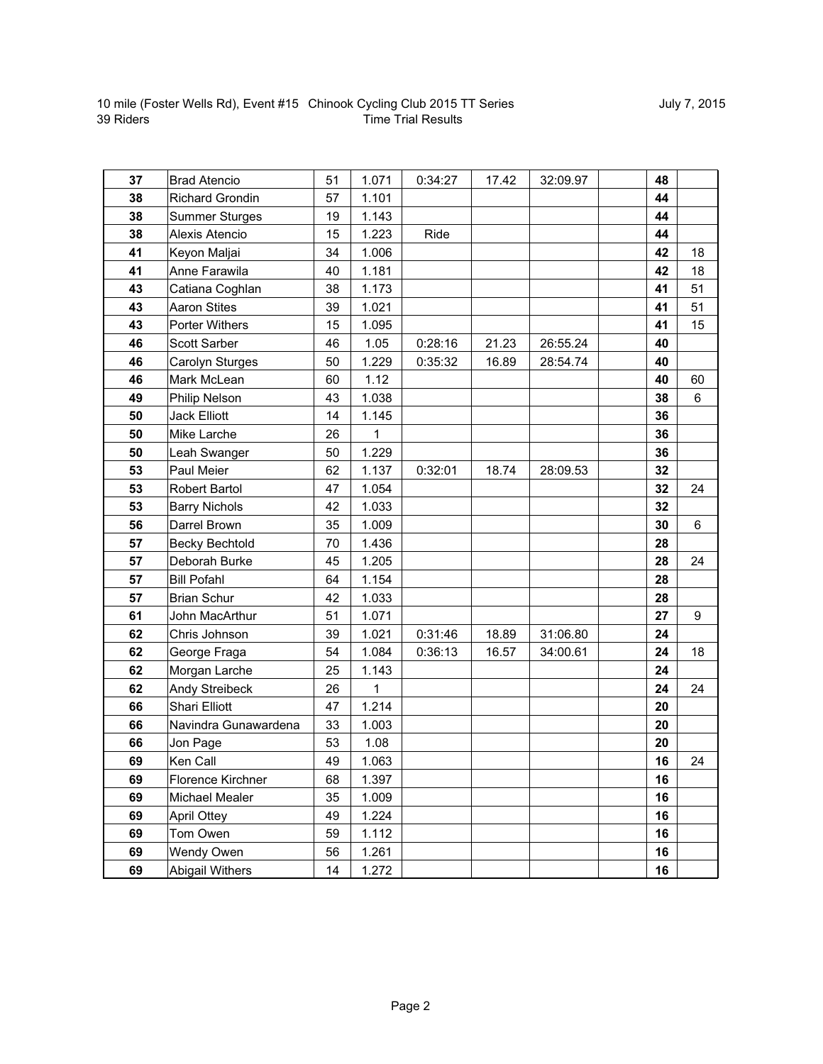| 37 | <b>Brad Atencio</b>    | 51 | 1.071 | 0:34:27 | 17.42 | 32:09.97 | 48 |    |
|----|------------------------|----|-------|---------|-------|----------|----|----|
| 38 | <b>Richard Grondin</b> | 57 | 1.101 |         |       |          | 44 |    |
| 38 | <b>Summer Sturges</b>  | 19 | 1.143 |         |       |          | 44 |    |
| 38 | Alexis Atencio         | 15 | 1.223 | Ride    |       |          | 44 |    |
| 41 | Keyon Maljai           | 34 | 1.006 |         |       |          | 42 | 18 |
| 41 | Anne Farawila          | 40 | 1.181 |         |       |          | 42 | 18 |
| 43 | Catiana Coghlan        | 38 | 1.173 |         |       |          | 41 | 51 |
| 43 | <b>Aaron Stites</b>    | 39 | 1.021 |         |       |          | 41 | 51 |
| 43 | Porter Withers         | 15 | 1.095 |         |       |          | 41 | 15 |
| 46 | Scott Sarber           | 46 | 1.05  | 0:28:16 | 21.23 | 26:55.24 | 40 |    |
| 46 | Carolyn Sturges        | 50 | 1.229 | 0:35:32 | 16.89 | 28:54.74 | 40 |    |
| 46 | Mark McLean            | 60 | 1.12  |         |       |          | 40 | 60 |
| 49 | Philip Nelson          | 43 | 1.038 |         |       |          | 38 | 6  |
| 50 | <b>Jack Elliott</b>    | 14 | 1.145 |         |       |          | 36 |    |
| 50 | Mike Larche            | 26 | 1     |         |       |          | 36 |    |
| 50 | Leah Swanger           | 50 | 1.229 |         |       |          | 36 |    |
| 53 | Paul Meier             | 62 | 1.137 | 0:32:01 | 18.74 | 28:09.53 | 32 |    |
| 53 | Robert Bartol          | 47 | 1.054 |         |       |          | 32 | 24 |
| 53 | <b>Barry Nichols</b>   | 42 | 1.033 |         |       |          | 32 |    |
| 56 | Darrel Brown           | 35 | 1.009 |         |       |          | 30 | 6  |
| 57 | <b>Becky Bechtold</b>  | 70 | 1.436 |         |       |          | 28 |    |
| 57 | Deborah Burke          | 45 | 1.205 |         |       |          | 28 | 24 |
| 57 | <b>Bill Pofahl</b>     | 64 | 1.154 |         |       |          | 28 |    |
| 57 | <b>Brian Schur</b>     | 42 | 1.033 |         |       |          | 28 |    |
| 61 | John MacArthur         | 51 | 1.071 |         |       |          | 27 | 9  |
| 62 | Chris Johnson          | 39 | 1.021 | 0:31:46 | 18.89 | 31:06.80 | 24 |    |
| 62 | George Fraga           | 54 | 1.084 | 0:36:13 | 16.57 | 34:00.61 | 24 | 18 |
| 62 | Morgan Larche          | 25 | 1.143 |         |       |          | 24 |    |
| 62 | Andy Streibeck         | 26 | 1     |         |       |          | 24 | 24 |
| 66 | <b>Shari Elliott</b>   | 47 | 1.214 |         |       |          | 20 |    |
| 66 | Navindra Gunawardena   | 33 | 1.003 |         |       |          | 20 |    |
| 66 | Jon Page               | 53 | 1.08  |         |       |          | 20 |    |
| 69 | Ken Call               | 49 | 1.063 |         |       |          | 16 | 24 |
| 69 | Florence Kirchner      | 68 | 1.397 |         |       |          | 16 |    |
| 69 | <b>Michael Mealer</b>  | 35 | 1.009 |         |       |          | 16 |    |
| 69 | <b>April Ottey</b>     | 49 | 1.224 |         |       |          | 16 |    |
| 69 | Tom Owen               | 59 | 1.112 |         |       |          | 16 |    |
| 69 | Wendy Owen             | 56 | 1.261 |         |       |          | 16 |    |
| 69 | <b>Abigail Withers</b> | 14 | 1.272 |         |       |          | 16 |    |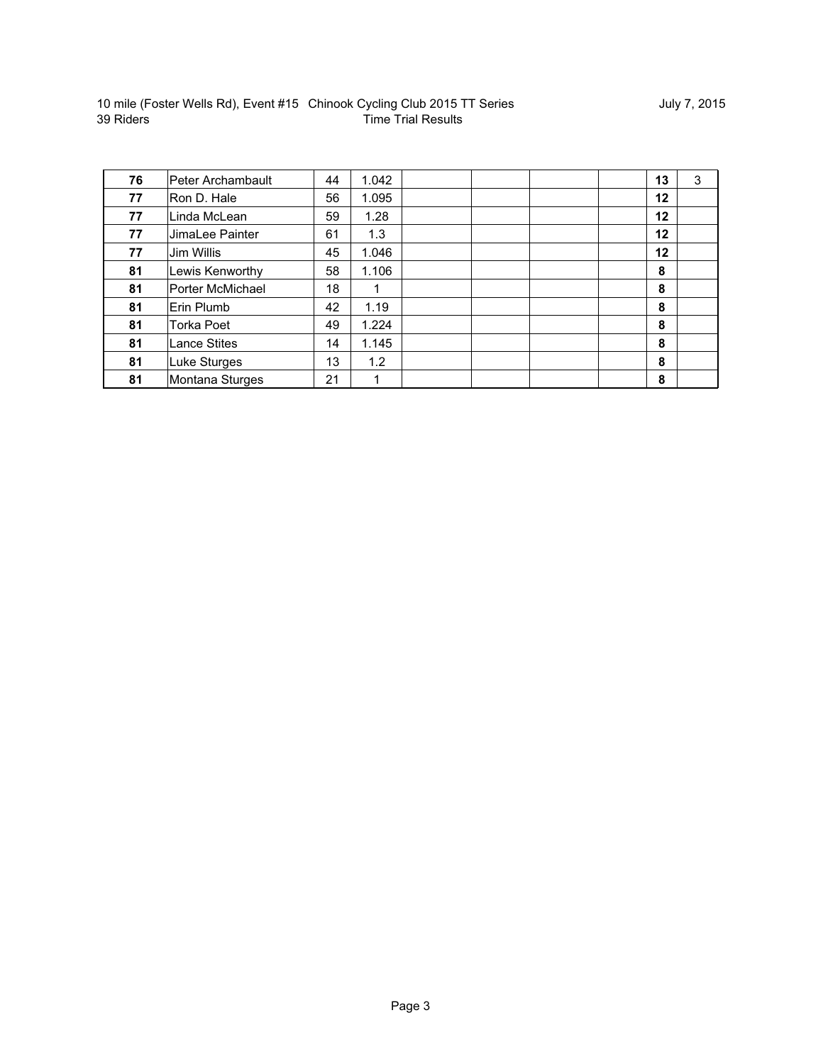|           | 10 mile (Foster Wells Rd), Event #15  Chinook Cycling Club 2015 TT Series |
|-----------|---------------------------------------------------------------------------|
| 39 Riders | Time Trial Results                                                        |

| 76 | Peter Archambault       | 44 | 1.042 |  | 13 | 3 |
|----|-------------------------|----|-------|--|----|---|
| 77 | Ron D. Hale             | 56 | 1.095 |  | 12 |   |
| 77 | Linda McLean            | 59 | 1.28  |  | 12 |   |
| 77 | JimaLee Painter         | 61 | 1.3   |  | 12 |   |
| 77 | Jim Willis              | 45 | 1.046 |  | 12 |   |
| 81 | Lewis Kenworthy         | 58 | 1.106 |  | 8  |   |
| 81 | <b>Porter McMichael</b> | 18 |       |  | 8  |   |
| 81 | Erin Plumb              | 42 | 1.19  |  | 8  |   |
| 81 | Torka Poet              | 49 | 1.224 |  | 8  |   |
| 81 | <b>Lance Stites</b>     | 14 | 1.145 |  | 8  |   |
| 81 | Luke Sturges            | 13 | 1.2   |  | 8  |   |
| 81 | Montana Sturges         | 21 | 1     |  | 8  |   |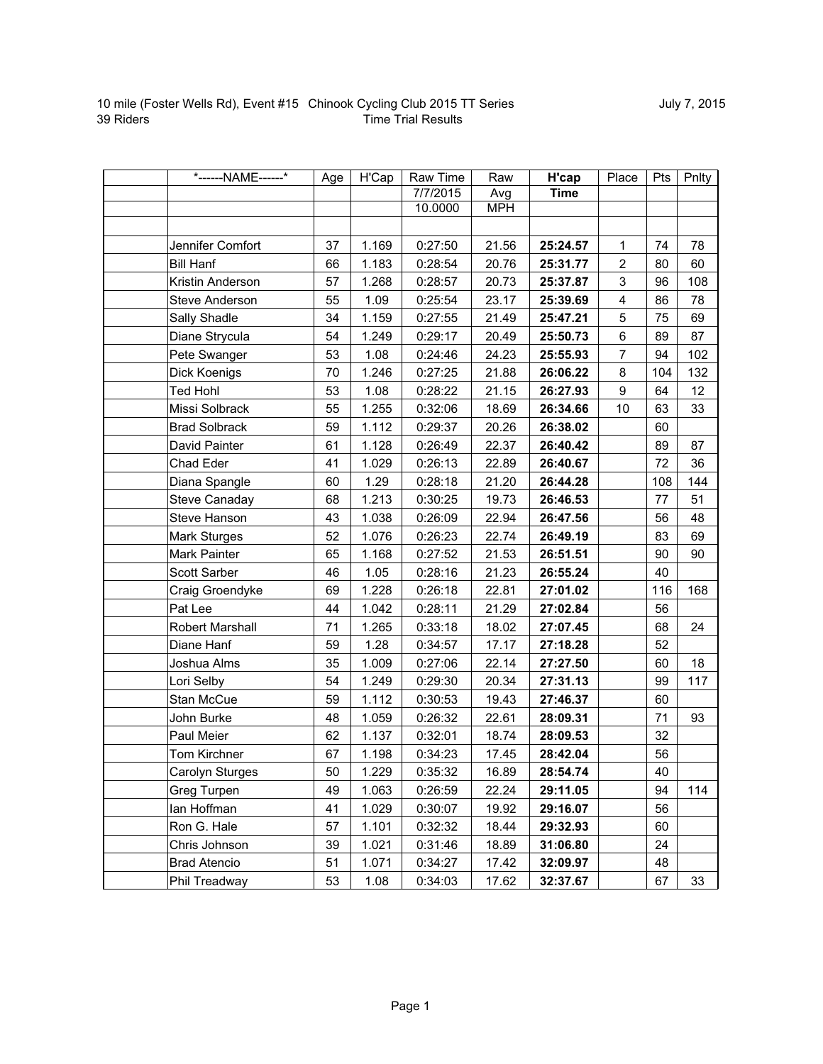| *------NAME------*    | Age | H'Cap | Raw Time | Raw        | H'cap       | Place          | Pts | Pnlty           |
|-----------------------|-----|-------|----------|------------|-------------|----------------|-----|-----------------|
|                       |     |       | 7/7/2015 | Avg        | <b>Time</b> |                |     |                 |
|                       |     |       | 10.0000  | <b>MPH</b> |             |                |     |                 |
|                       |     |       |          |            |             |                |     |                 |
| Jennifer Comfort      | 37  | 1.169 | 0:27:50  | 21.56      | 25:24.57    | 1              | 74  | 78              |
| <b>Bill Hanf</b>      | 66  | 1.183 | 0:28:54  | 20.76      | 25:31.77    | $\overline{c}$ | 80  | 60              |
| Kristin Anderson      | 57  | 1.268 | 0:28:57  | 20.73      | 25:37.87    | 3              | 96  | 108             |
| <b>Steve Anderson</b> | 55  | 1.09  | 0:25:54  | 23.17      | 25:39.69    | $\overline{4}$ | 86  | 78              |
| Sally Shadle          | 34  | 1.159 | 0:27:55  | 21.49      | 25:47.21    | 5              | 75  | 69              |
| Diane Strycula        | 54  | 1.249 | 0:29:17  | 20.49      | 25:50.73    | 6              | 89  | 87              |
| Pete Swanger          | 53  | 1.08  | 0:24:46  | 24.23      | 25:55.93    | $\overline{7}$ | 94  | 102             |
| Dick Koenigs          | 70  | 1.246 | 0:27:25  | 21.88      | 26:06.22    | 8              | 104 | 132             |
| <b>Ted Hohl</b>       | 53  | 1.08  | 0:28:22  | 21.15      | 26:27.93    | 9              | 64  | 12 <sup>°</sup> |
| Missi Solbrack        | 55  | 1.255 | 0:32:06  | 18.69      | 26:34.66    | 10             | 63  | 33              |
| <b>Brad Solbrack</b>  | 59  | 1.112 | 0:29:37  | 20.26      | 26:38.02    |                | 60  |                 |
| David Painter         | 61  | 1.128 | 0:26:49  | 22.37      | 26:40.42    |                | 89  | 87              |
| Chad Eder             | 41  | 1.029 | 0:26:13  | 22.89      | 26:40.67    |                | 72  | 36              |
| Diana Spangle         | 60  | 1.29  | 0:28:18  | 21.20      | 26:44.28    |                | 108 | 144             |
| <b>Steve Canaday</b>  | 68  | 1.213 | 0:30:25  | 19.73      | 26:46.53    |                | 77  | 51              |
| Steve Hanson          | 43  | 1.038 | 0:26:09  | 22.94      | 26:47.56    |                | 56  | 48              |
| Mark Sturges          | 52  | 1.076 | 0:26:23  | 22.74      | 26:49.19    |                | 83  | 69              |
| Mark Painter          | 65  | 1.168 | 0:27:52  | 21.53      | 26:51.51    |                | 90  | 90              |
| Scott Sarber          | 46  | 1.05  | 0:28:16  | 21.23      | 26:55.24    |                | 40  |                 |
| Craig Groendyke       | 69  | 1.228 | 0:26:18  | 22.81      | 27:01.02    |                | 116 | 168             |
| Pat Lee               | 44  | 1.042 | 0:28:11  | 21.29      | 27:02.84    |                | 56  |                 |
| Robert Marshall       | 71  | 1.265 | 0:33:18  | 18.02      | 27:07.45    |                | 68  | 24              |
| Diane Hanf            | 59  | 1.28  | 0:34:57  | 17.17      | 27:18.28    |                | 52  |                 |
| Joshua Alms           | 35  | 1.009 | 0:27:06  | 22.14      | 27:27.50    |                | 60  | 18              |
| Lori Selby            | 54  | 1.249 | 0:29:30  | 20.34      | 27:31.13    |                | 99  | 117             |
| Stan McCue            | 59  | 1.112 | 0:30:53  | 19.43      | 27:46.37    |                | 60  |                 |
| John Burke            | 48  | 1.059 | 0:26:32  | 22.61      | 28:09.31    |                | 71  | 93              |
| Paul Meier            | 62  | 1.137 | 0:32:01  | 18.74      | 28:09.53    |                | 32  |                 |
| Tom Kirchner          | 67  | 1.198 | 0:34:23  | 17.45      | 28:42.04    |                | 56  |                 |
| Carolyn Sturges       | 50  | 1.229 | 0:35:32  | 16.89      | 28:54.74    |                | 40  |                 |
| Greg Turpen           | 49  | 1.063 | 0:26:59  | 22.24      | 29:11.05    |                | 94  | 114             |
| lan Hoffman           | 41  | 1.029 | 0:30:07  | 19.92      | 29:16.07    |                | 56  |                 |
| Ron G. Hale           | 57  | 1.101 | 0:32:32  | 18.44      | 29:32.93    |                | 60  |                 |
| Chris Johnson         | 39  | 1.021 | 0:31:46  | 18.89      | 31:06.80    |                | 24  |                 |
| <b>Brad Atencio</b>   | 51  | 1.071 | 0:34:27  | 17.42      | 32:09.97    |                | 48  |                 |
| Phil Treadway         | 53  | 1.08  | 0:34:03  | 17.62      | 32:37.67    |                | 67  | 33              |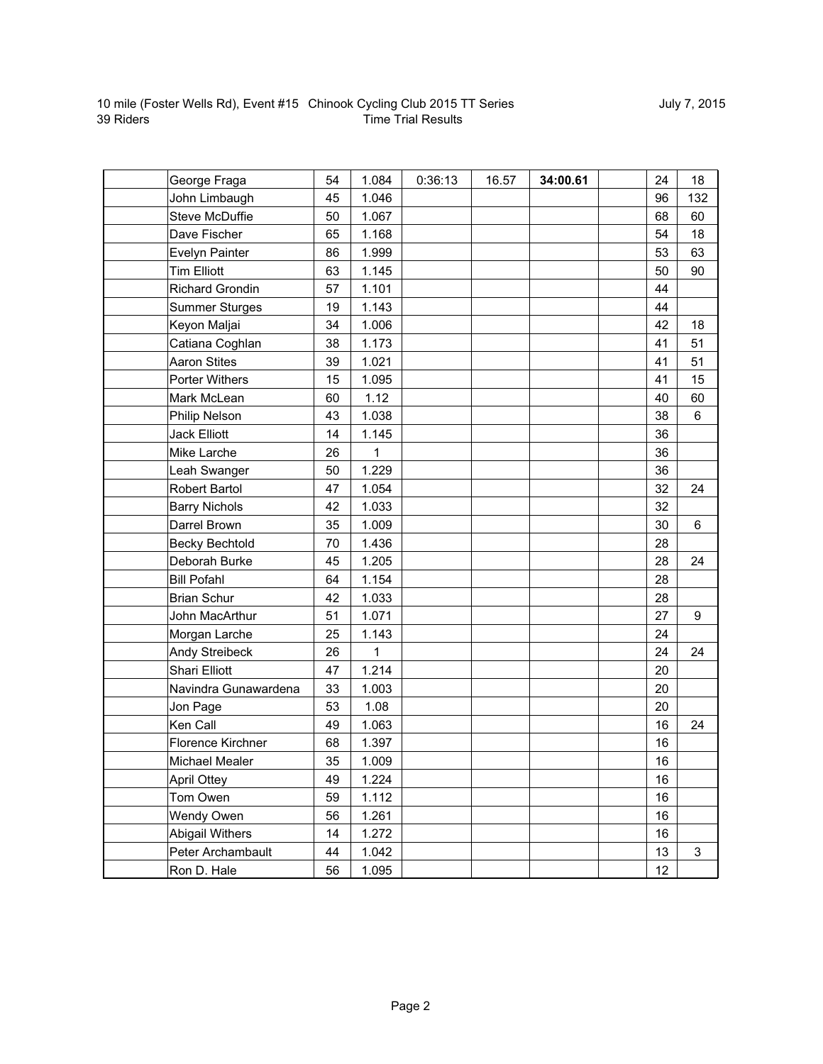| George Fraga           | 54 | 1.084 | 0:36:13 | 16.57 | 34:00.61 | 24 | 18  |
|------------------------|----|-------|---------|-------|----------|----|-----|
| John Limbaugh          | 45 | 1.046 |         |       |          | 96 | 132 |
| <b>Steve McDuffie</b>  | 50 | 1.067 |         |       |          | 68 | 60  |
| Dave Fischer           | 65 | 1.168 |         |       |          | 54 | 18  |
| Evelyn Painter         | 86 | 1.999 |         |       |          | 53 | 63  |
| <b>Tim Elliott</b>     | 63 | 1.145 |         |       |          | 50 | 90  |
| <b>Richard Grondin</b> | 57 | 1.101 |         |       |          | 44 |     |
| <b>Summer Sturges</b>  | 19 | 1.143 |         |       |          | 44 |     |
| Keyon Maljai           | 34 | 1.006 |         |       |          | 42 | 18  |
| Catiana Coghlan        | 38 | 1.173 |         |       |          | 41 | 51  |
| <b>Aaron Stites</b>    | 39 | 1.021 |         |       |          | 41 | 51  |
| Porter Withers         | 15 | 1.095 |         |       |          | 41 | 15  |
| Mark McLean            | 60 | 1.12  |         |       |          | 40 | 60  |
| Philip Nelson          | 43 | 1.038 |         |       |          | 38 | 6   |
| <b>Jack Elliott</b>    | 14 | 1.145 |         |       |          | 36 |     |
| Mike Larche            | 26 | 1     |         |       |          | 36 |     |
| Leah Swanger           | 50 | 1.229 |         |       |          | 36 |     |
| <b>Robert Bartol</b>   | 47 | 1.054 |         |       |          | 32 | 24  |
| <b>Barry Nichols</b>   | 42 | 1.033 |         |       |          | 32 |     |
| Darrel Brown           | 35 | 1.009 |         |       |          | 30 | 6   |
| <b>Becky Bechtold</b>  | 70 | 1.436 |         |       |          | 28 |     |
| Deborah Burke          | 45 | 1.205 |         |       |          | 28 | 24  |
| <b>Bill Pofahl</b>     | 64 | 1.154 |         |       |          | 28 |     |
| <b>Brian Schur</b>     | 42 | 1.033 |         |       |          | 28 |     |
| John MacArthur         | 51 | 1.071 |         |       |          | 27 | 9   |
| Morgan Larche          | 25 | 1.143 |         |       |          | 24 |     |
| Andy Streibeck         | 26 | 1     |         |       |          | 24 | 24  |
| Shari Elliott          | 47 | 1.214 |         |       |          | 20 |     |
| Navindra Gunawardena   | 33 | 1.003 |         |       |          | 20 |     |
| Jon Page               | 53 | 1.08  |         |       |          | 20 |     |
| Ken Call               | 49 | 1.063 |         |       |          | 16 | 24  |
| Florence Kirchner      | 68 | 1.397 |         |       |          | 16 |     |
| Michael Mealer         | 35 | 1.009 |         |       |          | 16 |     |
| <b>April Ottey</b>     | 49 | 1.224 |         |       |          | 16 |     |
| Tom Owen               | 59 | 1.112 |         |       |          | 16 |     |
| Wendy Owen             | 56 | 1.261 |         |       |          | 16 |     |
| Abigail Withers        | 14 | 1.272 |         |       |          | 16 |     |
| Peter Archambault      | 44 | 1.042 |         |       |          | 13 | 3   |
| Ron D. Hale            | 56 | 1.095 |         |       |          | 12 |     |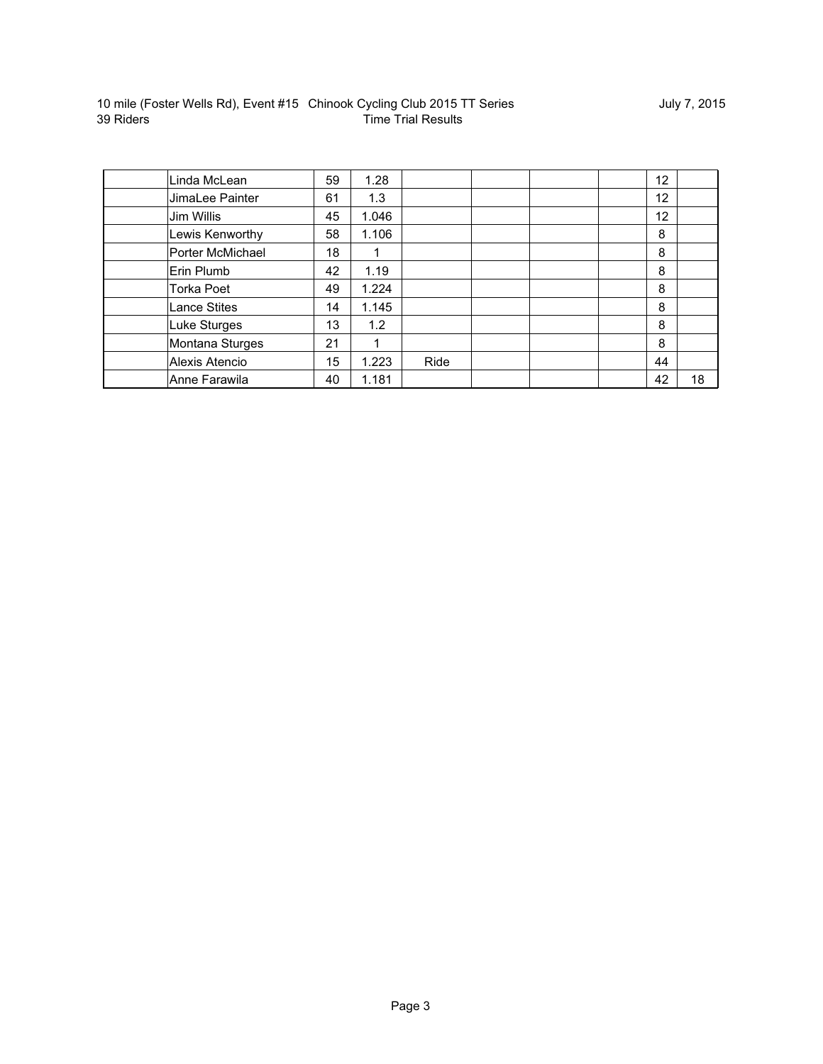|           | 10 mile (Foster Wells Rd), Event #15 Chinook Cycling Club 2015 TT Series |
|-----------|--------------------------------------------------------------------------|
| 39 Riders | Time Trial Results                                                       |

| Linda McLean        | 59 | 1.28  |             |  | 12 |    |
|---------------------|----|-------|-------------|--|----|----|
| JimaLee Painter     | 61 | 1.3   |             |  | 12 |    |
| Jim Willis          | 45 | 1.046 |             |  | 12 |    |
| Lewis Kenworthy     | 58 | 1.106 |             |  | 8  |    |
| Porter McMichael    | 18 | 1     |             |  | 8  |    |
| Erin Plumb          | 42 | 1.19  |             |  | 8  |    |
| <b>Torka Poet</b>   | 49 | 1.224 |             |  | 8  |    |
| <b>Lance Stites</b> | 14 | 1.145 |             |  | 8  |    |
| <b>Luke Sturges</b> | 13 | 1.2   |             |  | 8  |    |
| Montana Sturges     | 21 |       |             |  | 8  |    |
| Alexis Atencio      | 15 | 1.223 | <b>Ride</b> |  | 44 |    |
| Anne Farawila       | 40 | 1.181 |             |  | 42 | 18 |